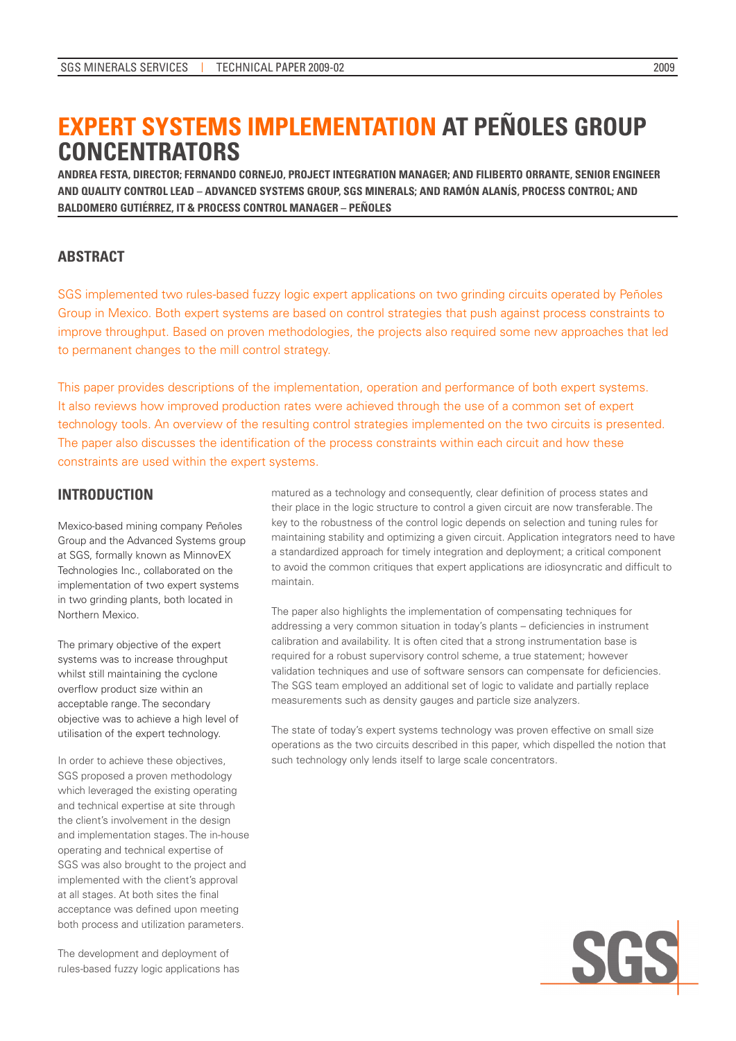# **EXPERT SYSTEMS IMPLEMENTATION AT PEÑOLES GROUP CONCENTRATORS**

**ANDREA FESTA, DIRECTOR; FERNANDO CORNEJO, PROJECT INTEGRATION MANAGER; AND FILIBERTO ORRANTE, SENIOR ENGINEER AND QUALITY CONTROL LEAD – ADVANCED SYSTEMS GROUP, SGS MINERALS; AND RAMÓN ALANÍS, PROCESS CONTROL; AND BALDOMERO GUTIÉRREZ, IT & PROCESS CONTROL MANAGER – PEÑOLES**

### **ABSTRACT**

SGS implemented two rules-based fuzzy logic expert applications on two grinding circuits operated by Peñoles Group in Mexico. Both expert systems are based on control strategies that push against process constraints to improve throughput. Based on proven methodologies, the projects also required some new approaches that led to permanent changes to the mill control strategy.

This paper provides descriptions of the implementation, operation and performance of both expert systems. It also reviews how improved production rates were achieved through the use of a common set of expert technology tools. An overview of the resulting control strategies implemented on the two circuits is presented. The paper also discusses the identification of the process constraints within each circuit and how these constraints are used within the expert systems.

# **INTRODUCTION**

Mexico-based mining company Peñoles Group and the Advanced Systems group at SGS, formally known as MinnovEX Technologies Inc., collaborated on the implementation of two expert systems in two grinding plants, both located in Northern Mexico.

The primary objective of the expert systems was to increase throughput whilst still maintaining the cyclone overflow product size within an acceptable range. The secondary objective was to achieve a high level of utilisation of the expert technology.

In order to achieve these objectives, SGS proposed a proven methodology which leveraged the existing operating and technical expertise at site through the client's involvement in the design and implementation stages. The in-house operating and technical expertise of SGS was also brought to the project and implemented with the client's approval at all stages. At both sites the final acceptance was defined upon meeting both process and utilization parameters.

The development and deployment of rules-based fuzzy logic applications has matured as a technology and consequently, clear definition of process states and their place in the logic structure to control a given circuit are now transferable. The key to the robustness of the control logic depends on selection and tuning rules for maintaining stability and optimizing a given circuit. Application integrators need to have a standardized approach for timely integration and deployment; a critical component to avoid the common critiques that expert applications are idiosyncratic and difficult to maintain.

The paper also highlights the implementation of compensating techniques for addressing a very common situation in today's plants – deficiencies in instrument calibration and availability. It is often cited that a strong instrumentation base is required for a robust supervisory control scheme, a true statement; however validation techniques and use of software sensors can compensate for deficiencies. The SGS team employed an additional set of logic to validate and partially replace measurements such as density gauges and particle size analyzers.

The state of today's expert systems technology was proven effective on small size operations as the two circuits described in this paper, which dispelled the notion that such technology only lends itself to large scale concentrators.

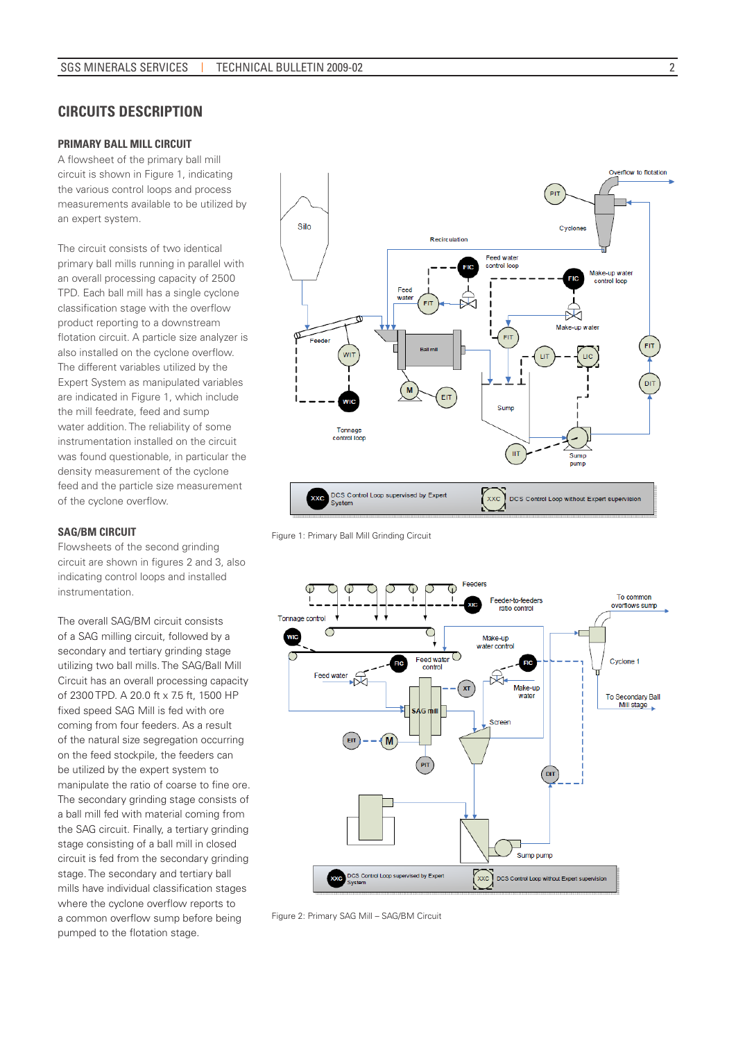### **CIRCUITS DESCRIPTION**

### **PRIMARY BALL MILL CIRCUIT**

A flowsheet of the primary ball mill circuit is shown in Figure 1, indicating the various control loops and process measurements available to be utilized by an expert system.

The circuit consists of two identical primary ball mills running in parallel with an overall processing capacity of 2500 TPD. Each ball mill has a single cyclone classification stage with the overflow product reporting to a downstream flotation circuit. A particle size analyzer is also installed on the cyclone overflow. The different variables utilized by the Expert System as manipulated variables are indicated in Figure 1, which include the mill feedrate, feed and sump water addition. The reliability of some instrumentation installed on the circuit was found questionable, in particular the density measurement of the cyclone feed and the particle size measurement of the cyclone overflow.

#### **SAG/BM CIRCUIT**

Flowsheets of the second grinding circuit are shown in figures 2 and 3, also indicating control loops and installed instrumentation.

The overall SAG/BM circuit consists of a SAG milling circuit, followed by a secondary and tertiary grinding stage utilizing two ball mills. The SAG/Ball Mill Circuit has an overall processing capacity of 2300 TPD. A 20.0 ft x 7.5 ft, 1500 HP fixed speed SAG Mill is fed with ore coming from four feeders. As a result of the natural size segregation occurring on the feed stockpile, the feeders can be utilized by the expert system to manipulate the ratio of coarse to fine ore. The secondary grinding stage consists of a ball mill fed with material coming from the SAG circuit. Finally, a tertiary grinding stage consisting of a ball mill in closed circuit is fed from the secondary grinding stage. The secondary and tertiary ball mills have individual classification stages where the cyclone overflow reports to a common overflow sump before being pumped to the flotation stage.



Figure 1: Primary Ball Mill Grinding Circuit



Figure 2: Primary SAG Mill – SAG/BM Circuit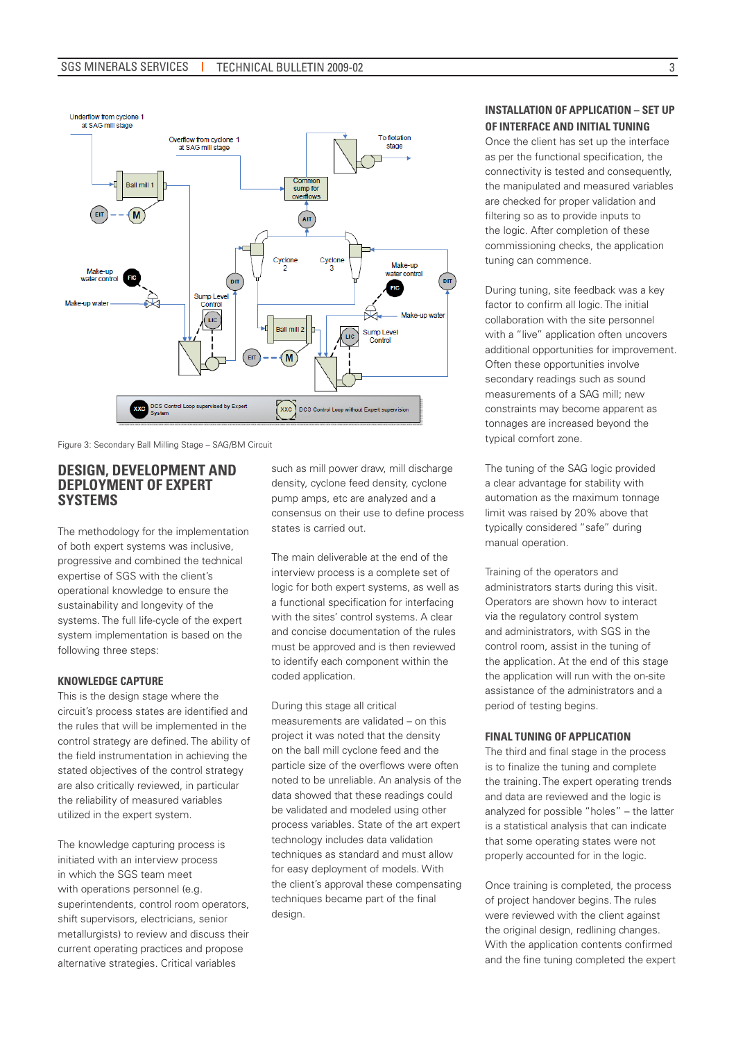

Figure 3: Secondary Ball Milling Stage – SAG/BM Circuit

### **DESIGN, DEVELOPMENT AND DEPLOYMENT OF EXPERT SYSTEMS**

The methodology for the implementation of both expert systems was inclusive, progressive and combined the technical expertise of SGS with the client's operational knowledge to ensure the sustainability and longevity of the systems. The full life-cycle of the expert system implementation is based on the following three steps:

### **KNOWLEDGE CAPTURE**

This is the design stage where the circuit's process states are identified and the rules that will be implemented in the control strategy are defined. The ability of the field instrumentation in achieving the stated objectives of the control strategy are also critically reviewed, in particular the reliability of measured variables utilized in the expert system.

The knowledge capturing process is initiated with an interview process in which the SGS team meet with operations personnel (e.g. superintendents, control room operators, shift supervisors, electricians, senior metallurgists) to review and discuss their current operating practices and propose alternative strategies. Critical variables

such as mill power draw, mill discharge density, cyclone feed density, cyclone pump amps, etc are analyzed and a consensus on their use to define process states is carried out.

The main deliverable at the end of the interview process is a complete set of logic for both expert systems, as well as a functional specification for interfacing with the sites' control systems. A clear and concise documentation of the rules must be approved and is then reviewed to identify each component within the coded application.

During this stage all critical measurements are validated – on this project it was noted that the density on the ball mill cyclone feed and the particle size of the overflows were often noted to be unreliable. An analysis of the data showed that these readings could be validated and modeled using other process variables. State of the art expert technology includes data validation techniques as standard and must allow for easy deployment of models. With the client's approval these compensating techniques became part of the final design.

### **INSTALLATION OF APPLICATION – SET UP OF INTERFACE AND INITIAL TUNING**

Once the client has set up the interface as per the functional specification, the connectivity is tested and consequently, the manipulated and measured variables are checked for proper validation and filtering so as to provide inputs to the logic. After completion of these commissioning checks, the application tuning can commence.

During tuning, site feedback was a key factor to confirm all logic. The initial collaboration with the site personnel with a "live" application often uncovers additional opportunities for improvement. Often these opportunities involve secondary readings such as sound measurements of a SAG mill; new constraints may become apparent as tonnages are increased beyond the typical comfort zone.

The tuning of the SAG logic provided a clear advantage for stability with automation as the maximum tonnage limit was raised by 20% above that typically considered "safe" during manual operation.

Training of the operators and administrators starts during this visit. Operators are shown how to interact via the regulatory control system and administrators, with SGS in the control room, assist in the tuning of the application. At the end of this stage the application will run with the on-site assistance of the administrators and a period of testing begins.

#### **FINAL TUNING OF APPLICATION**

The third and final stage in the process is to finalize the tuning and complete the training. The expert operating trends and data are reviewed and the logic is analyzed for possible "holes" – the latter is a statistical analysis that can indicate that some operating states were not properly accounted for in the logic.

Once training is completed, the process of project handover begins. The rules were reviewed with the client against the original design, redlining changes. With the application contents confirmed and the fine tuning completed the expert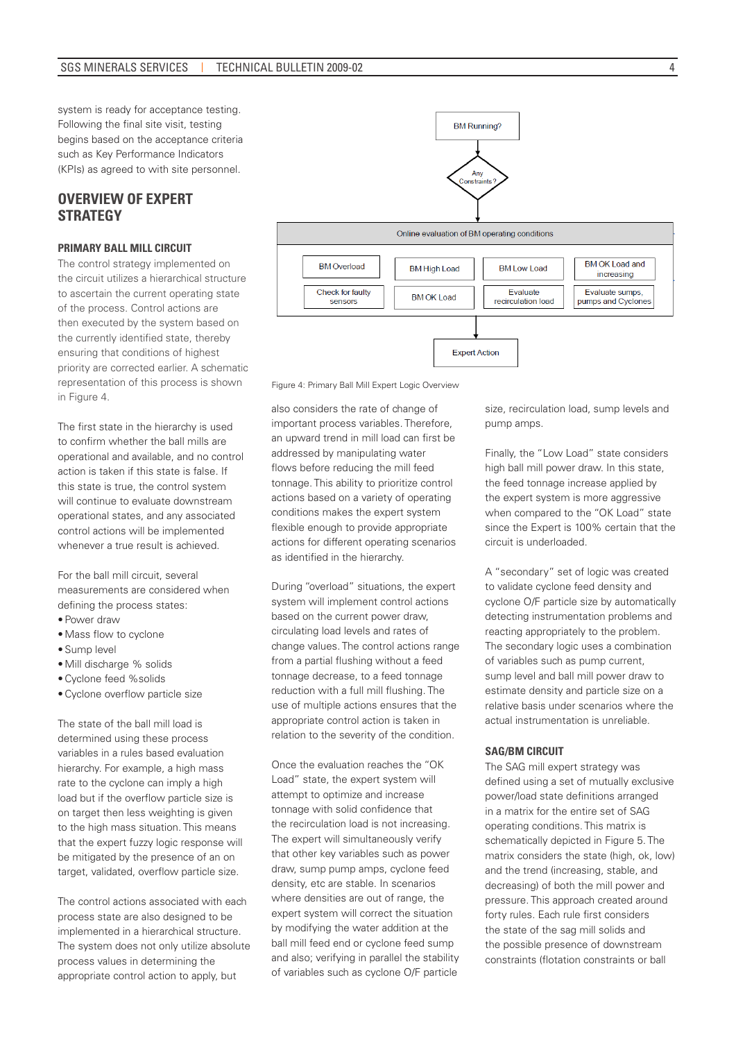system is ready for acceptance testing. Following the final site visit, testing begins based on the acceptance criteria such as Key Performance Indicators (KPIs) as agreed to with site personnel.

# **OVERVIEW OF EXPERT STRATEGY**

### **PRIMARY BALL MILL CIRCUIT**

The control strategy implemented on the circuit utilizes a hierarchical structure to ascertain the current operating state of the process. Control actions are then executed by the system based on the currently identified state, thereby ensuring that conditions of highest priority are corrected earlier. A schematic representation of this process is shown in Figure 4.

The first state in the hierarchy is used to confirm whether the ball mills are operational and available, and no control action is taken if this state is false. If this state is true, the control system will continue to evaluate downstream operational states, and any associated control actions will be implemented whenever a true result is achieved.

For the ball mill circuit, several measurements are considered when defining the process states:

- • Power draw
- • Mass flow to cyclone
- Sump level
- • Mill discharge % solids
- • Cyclone feed %solids
- • Cyclone overflow particle size

The state of the ball mill load is determined using these process variables in a rules based evaluation hierarchy. For example, a high mass rate to the cyclone can imply a high load but if the overflow particle size is on target then less weighting is given to the high mass situation. This means that the expert fuzzy logic response will be mitigated by the presence of an on target, validated, overflow particle size.

The control actions associated with each process state are also designed to be implemented in a hierarchical structure. The system does not only utilize absolute process values in determining the appropriate control action to apply, but



Figure 4: Primary Ball Mill Expert Logic Overview

also considers the rate of change of important process variables. Therefore, an upward trend in mill load can first be addressed by manipulating water flows before reducing the mill feed tonnage. This ability to prioritize control actions based on a variety of operating conditions makes the expert system flexible enough to provide appropriate actions for different operating scenarios as identified in the hierarchy.

During "overload" situations, the expert system will implement control actions based on the current power draw, circulating load levels and rates of change values. The control actions range from a partial flushing without a feed tonnage decrease, to a feed tonnage reduction with a full mill flushing. The use of multiple actions ensures that the appropriate control action is taken in relation to the severity of the condition.

Once the evaluation reaches the "OK Load" state, the expert system will attempt to optimize and increase tonnage with solid confidence that the recirculation load is not increasing. The expert will simultaneously verify that other key variables such as power draw, sump pump amps, cyclone feed density, etc are stable. In scenarios where densities are out of range, the expert system will correct the situation by modifying the water addition at the ball mill feed end or cyclone feed sump and also; verifying in parallel the stability of variables such as cyclone O/F particle

size, recirculation load, sump levels and pump amps.

Finally, the "Low Load" state considers high ball mill power draw. In this state, the feed tonnage increase applied by the expert system is more aggressive when compared to the "OK Load" state since the Expert is 100% certain that the circuit is underloaded.

A "secondary" set of logic was created to validate cyclone feed density and cyclone O/F particle size by automatically detecting instrumentation problems and reacting appropriately to the problem. The secondary logic uses a combination of variables such as pump current, sump level and ball mill power draw to estimate density and particle size on a relative basis under scenarios where the actual instrumentation is unreliable.

#### **SAG/BM CIRCUIT**

The SAG mill expert strategy was defined using a set of mutually exclusive power/load state definitions arranged in a matrix for the entire set of SAG operating conditions. This matrix is schematically depicted in Figure 5. The matrix considers the state (high, ok, low) and the trend (increasing, stable, and decreasing) of both the mill power and pressure. This approach created around forty rules. Each rule first considers the state of the sag mill solids and the possible presence of downstream constraints (flotation constraints or ball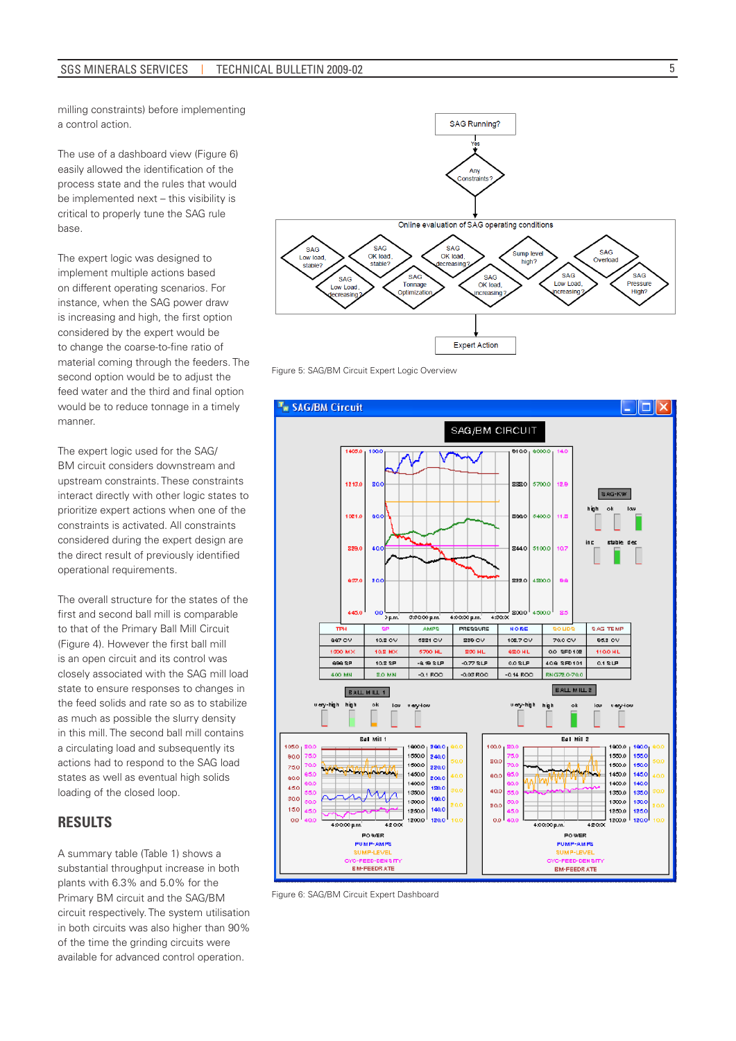milling constraints) before implementing a control action.

The use of a dashboard view (Figure 6) easily allowed the identification of the process state and the rules that would be implemented next – this visibility is critical to properly tune the SAG rule base.

The expert logic was designed to implement multiple actions based on different operating scenarios. For instance, when the SAG power draw is increasing and high, the first option considered by the expert would be to change the coarse-to-fine ratio of material coming through the feeders. The second option would be to adjust the feed water and the third and final option would be to reduce tonnage in a timely manner.

The expert logic used for the SAG/ BM circuit considers downstream and upstream constraints. These constraints interact directly with other logic states to prioritize expert actions when one of the constraints is activated. All constraints considered during the expert design are the direct result of previously identified operational requirements.

The overall structure for the states of the first and second ball mill is comparable to that of the Primary Ball Mill Circuit (Figure 4). However the first ball mill is an open circuit and its control was closely associated with the SAG mill load state to ensure responses to changes in the feed solids and rate so as to stabilize as much as possible the slurry density in this mill. The second ball mill contains a circulating load and subsequently its actions had to respond to the SAG load states as well as eventual high solids loading of the closed loop.

# **RESULTS**

A summary table (Table 1) shows a substantial throughput increase in both plants with 6.3% and 5.0% for the Primary BM circuit and the SAG/BM circuit respectively. The system utilisation in both circuits was also higher than 90% of the time the grinding circuits were available for advanced control operation.



Figure 5: SAG/BM Circuit Expert Logic Overview



Figure 6: SAG/BM Circuit Expert Dashboard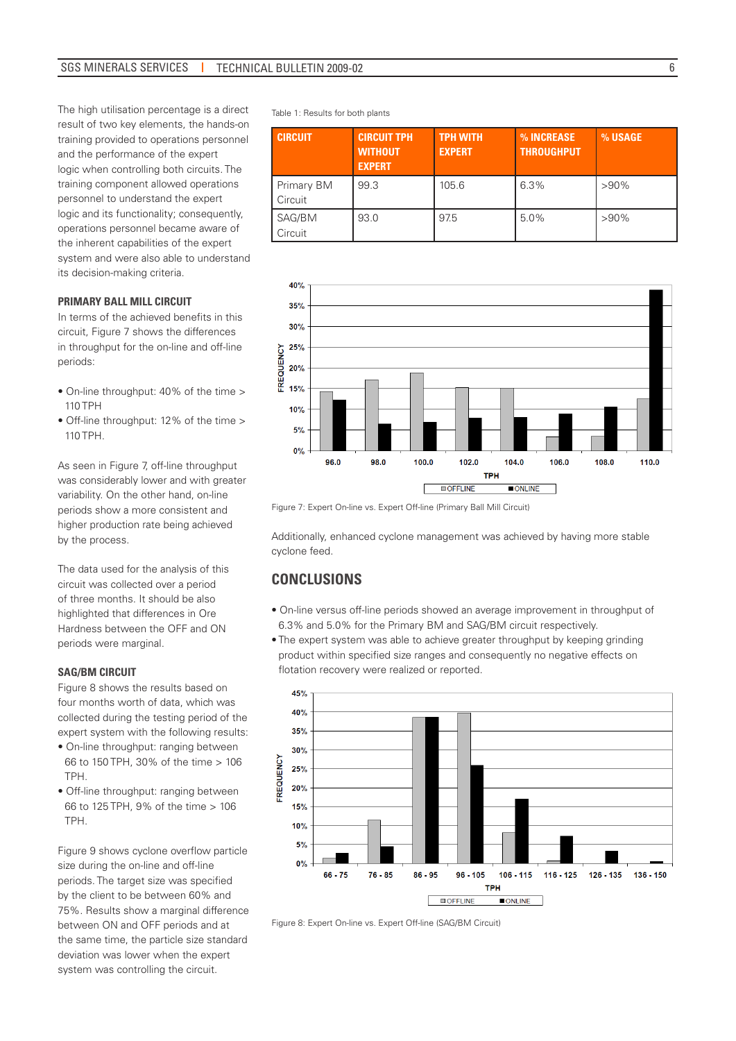The high utilisation percentage is a direct result of two key elements, the hands-on training provided to operations personnel and the performance of the expert logic when controlling both circuits. The training component allowed operations personnel to understand the expert logic and its functionality; consequently, operations personnel became aware of the inherent capabilities of the expert system and were also able to understand its decision-making criteria.

#### **PRIMARY BALL MILL CIRCUIT**

In terms of the achieved benefits in this circuit, Figure 7 shows the differences in throughput for the on-line and off-line periods:

- On-line throughput: 40% of the time > 110 TPH
- Off-line throughput: 12% of the time > 110 TPH.

As seen in Figure 7, off-line throughput was considerably lower and with greater variability. On the other hand, on-line periods show a more consistent and higher production rate being achieved by the process.

The data used for the analysis of this circuit was collected over a period of three months. It should be also highlighted that differences in Ore Hardness between the OFF and ON periods were marginal.

#### **SAG/BM CIRCUIT**

Figure 8 shows the results based on four months worth of data, which was collected during the testing period of the expert system with the following results:

- On-line throughput: ranging between 66 to 150 TPH, 30% of the time > 106 TPH.
- Off-line throughput: ranging between 66 to 125 TPH, 9% of the time > 106 TPH.

Figure 9 shows cyclone overflow particle size during the on-line and off-line periods. The target size was specified by the client to be between 60% and 75%. Results show a marginal difference between ON and OFF periods and at the same time, the particle size standard deviation was lower when the expert system was controlling the circuit.

Table 1: Results for both plants

| <b>CIRCUIT</b>        | <b>CIRCUIT TPH.</b><br><b>WITHOUT</b><br><b>EXPERT</b> | <b>TPH WITH</b><br><b>EXPERT</b> | % INCREASE<br><b>THROUGHPUT</b> | % USAGE |
|-----------------------|--------------------------------------------------------|----------------------------------|---------------------------------|---------|
| Primary BM<br>Circuit | 99.3                                                   | 105.6                            | 6.3%                            | $>90\%$ |
| SAG/BM<br>Circuit     | 93.0                                                   | 97.5                             | 5.0%                            | $>90\%$ |



Figure 7: Expert On-line vs. Expert Off-line (Primary Ball Mill Circuit)

Additionally, enhanced cyclone management was achieved by having more stable cyclone feed.

### **CONCLUSIONS**

- On-line versus off-line periods showed an average improvement in throughput of 6.3% and 5.0% for the Primary BM and SAG/BM circuit respectively.
- The expert system was able to achieve greater throughput by keeping grinding product within specified size ranges and consequently no negative effects on flotation recovery were realized or reported.



Figure 8: Expert On-line vs. Expert Off-line (SAG/BM Circuit)